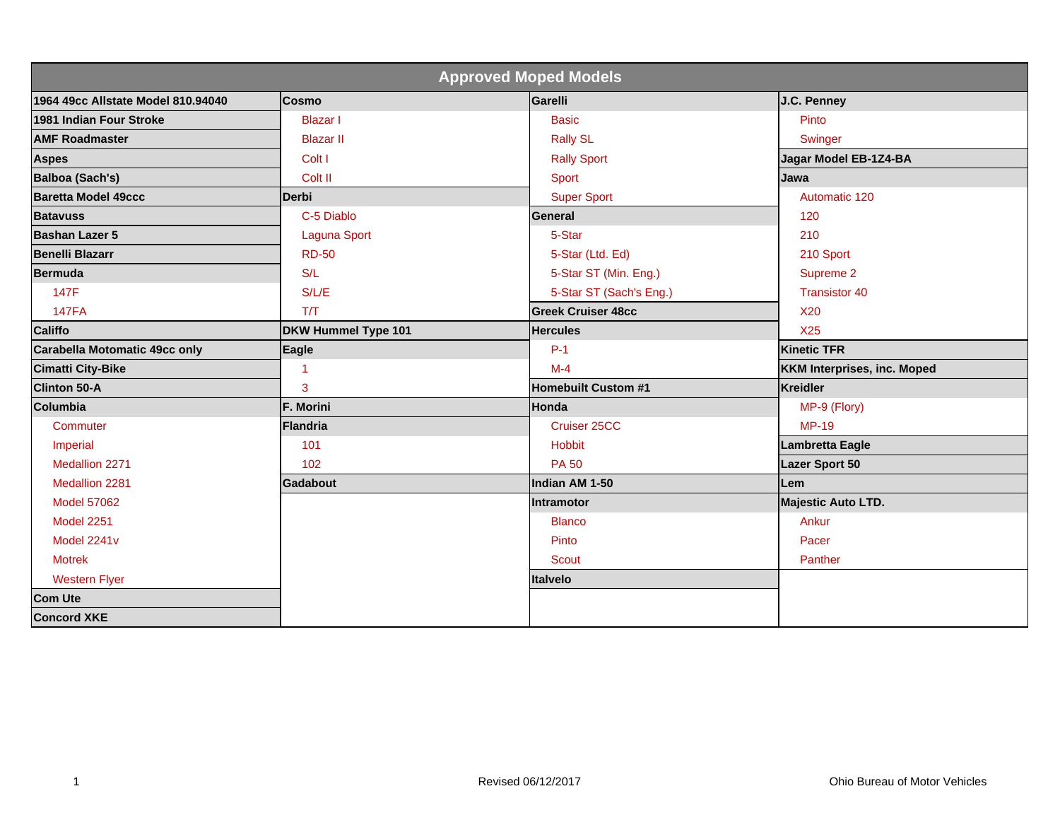| <b>Approved Moped Models</b>       |                     |                            |                                    |  |
|------------------------------------|---------------------|----------------------------|------------------------------------|--|
| 1964 49cc Allstate Model 810.94040 | Cosmo               | Garelli                    | J.C. Penney                        |  |
| 1981 Indian Four Stroke            | <b>Blazar</b> I     | <b>Basic</b>               | Pinto                              |  |
| <b>AMF Roadmaster</b>              | <b>Blazar II</b>    | <b>Rally SL</b>            | Swinger                            |  |
| <b>Aspes</b>                       | Colt I              | <b>Rally Sport</b>         | Jagar Model EB-1Z4-BA              |  |
| <b>Balboa (Sach's)</b>             | Colt II             | Sport                      | Jawa                               |  |
| <b>Baretta Model 49ccc</b>         | Derbi               | <b>Super Sport</b>         | Automatic 120                      |  |
| <b>Batavuss</b>                    | C-5 Diablo          | <b>General</b>             | 120                                |  |
| Bashan Lazer 5                     | <b>Laguna Sport</b> | 5-Star                     | 210                                |  |
| <b>Benelli Blazarr</b>             | <b>RD-50</b>        | 5-Star (Ltd. Ed)           | 210 Sport                          |  |
| <b>Bermuda</b>                     | S/L                 | 5-Star ST (Min. Eng.)      | Supreme 2                          |  |
| 147F                               | S/L/E               | 5-Star ST (Sach's Eng.)    | <b>Transistor 40</b>               |  |
| <b>147FA</b>                       | T/T                 | <b>Greek Cruiser 48cc</b>  | <b>X20</b>                         |  |
| <b>Califfo</b>                     | DKW Hummel Type 101 | <b>Hercules</b>            | <b>X25</b>                         |  |
| Carabella Motomatic 49cc only      | Eagle               | $P-1$                      | <b>Kinetic TFR</b>                 |  |
| <b>Cimatti City-Bike</b>           | 1                   | $M-4$                      | <b>KKM Interprises, inc. Moped</b> |  |
| <b>Clinton 50-A</b>                | 3                   | <b>Homebuilt Custom #1</b> | <b>Kreidler</b>                    |  |
| Columbia                           | F. Morini           | Honda                      | MP-9 (Flory)                       |  |
| Commuter                           | <b>Flandria</b>     | Cruiser 25CC               | <b>MP-19</b>                       |  |
| Imperial                           | 101                 | <b>Hobbit</b>              | <b>Lambretta Eagle</b>             |  |
| Medallion 2271                     | 102                 | <b>PA 50</b>               | <b>Lazer Sport 50</b>              |  |
| Medallion 2281                     | Gadabout            | Indian AM 1-50             | Lem                                |  |
| <b>Model 57062</b>                 |                     | Intramotor                 | <b>Majestic Auto LTD.</b>          |  |
| <b>Model 2251</b>                  |                     | <b>Blanco</b>              | Ankur                              |  |
| Model 2241v                        |                     | Pinto                      | Pacer                              |  |
| <b>Motrek</b>                      |                     | <b>Scout</b>               | Panther                            |  |
| <b>Western Flyer</b>               |                     | Italvelo                   |                                    |  |
| <b>Com Ute</b>                     |                     |                            |                                    |  |
| <b>Concord XKE</b>                 |                     |                            |                                    |  |